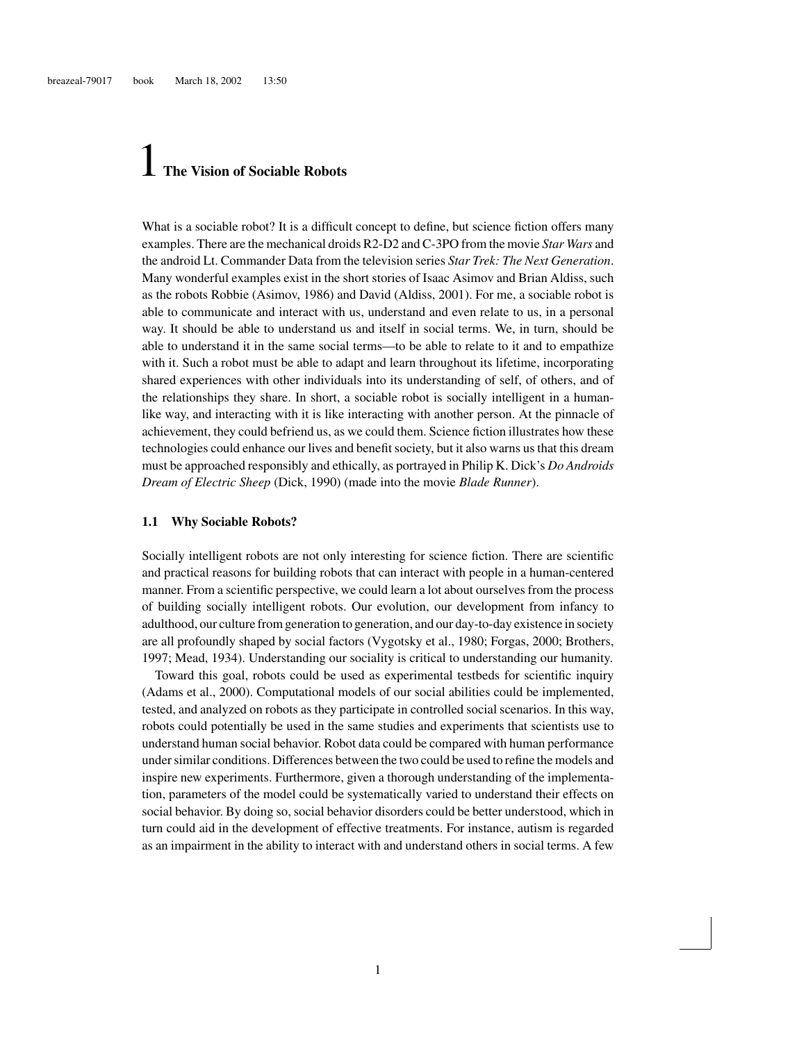# 1 **The Vision of Sociable Robots**

What is a sociable robot? It is a difficult concept to define, but science fiction offers many examples. There are the mechanical droids R2-D2 and C-3PO from the movie *Star Wars* and the android Lt. Commander Data from the television series *Star Trek: The Next Generation*. Many wonderful examples exist in the short stories of Isaac Asimov and Brian Aldiss, such as the robots Robbie (Asimov, 1986) and David (Aldiss, 2001). For me, a sociable robot is able to communicate and interact with us, understand and even relate to us, in a personal way. It should be able to understand us and itself in social terms. We, in turn, should be able to understand it in the same social terms—to be able to relate to it and to empathize with it. Such a robot must be able to adapt and learn throughout its lifetime, incorporating shared experiences with other individuals into its understanding of self, of others, and of the relationships they share. In short, a sociable robot is socially intelligent in a humanlike way, and interacting with it is like interacting with another person. At the pinnacle of achievement, they could befriend us, as we could them. Science fiction illustrates how these technologies could enhance our lives and benefit society, but it also warns us that this dream must be approached responsibly and ethically, as portrayed in Philip K. Dick's *Do Androids Dream of Electric Sheep* (Dick, 1990) (made into the movie *Blade Runner*).

# **1.1 Why Sociable Robots?**

Socially intelligent robots are not only interesting for science fiction. There are scientific [and practical reasons for building robots that can interact with people in a human-centered](#page--1-0) manner. From a scientific perspective, we could learn a lot about ourselves from the process of building socially intelligent robots. Our evolution, our development from infancy to adulthood, our culture from generation to generation, and our day-to-day existence in society are all profoundly shaped by social factors (Vygotsky et al., 1980; Forgas, 2000; Brothers, 1997; Mead, 1934). Understanding our sociality is critical to understanding our humanity.

Toward this goal, robots could be used as experimental testbeds for scientific inquiry (Adams et al., 2000). Computational models of our social abilities could be implemented, tested, and analyzed on robots as they participate in controlled social scenarios. In this way, robots could potentially be used in the same studies and experiments that scientists use to understand human social behavior. Robot data could be compared with human performance under similar conditions. Differences between the two could be used to refine the models and inspire new experiments. Furthermore, given a thorough understanding of the implementation, parameters of the model could be systematically varied to understand their effects on social behavior. By doing so, social behavior disorders could be better understood, which in turn could aid in the development of effective treatments. For instance, autism is regarded as an impairment in the ability to interact with and understand others in social terms. A few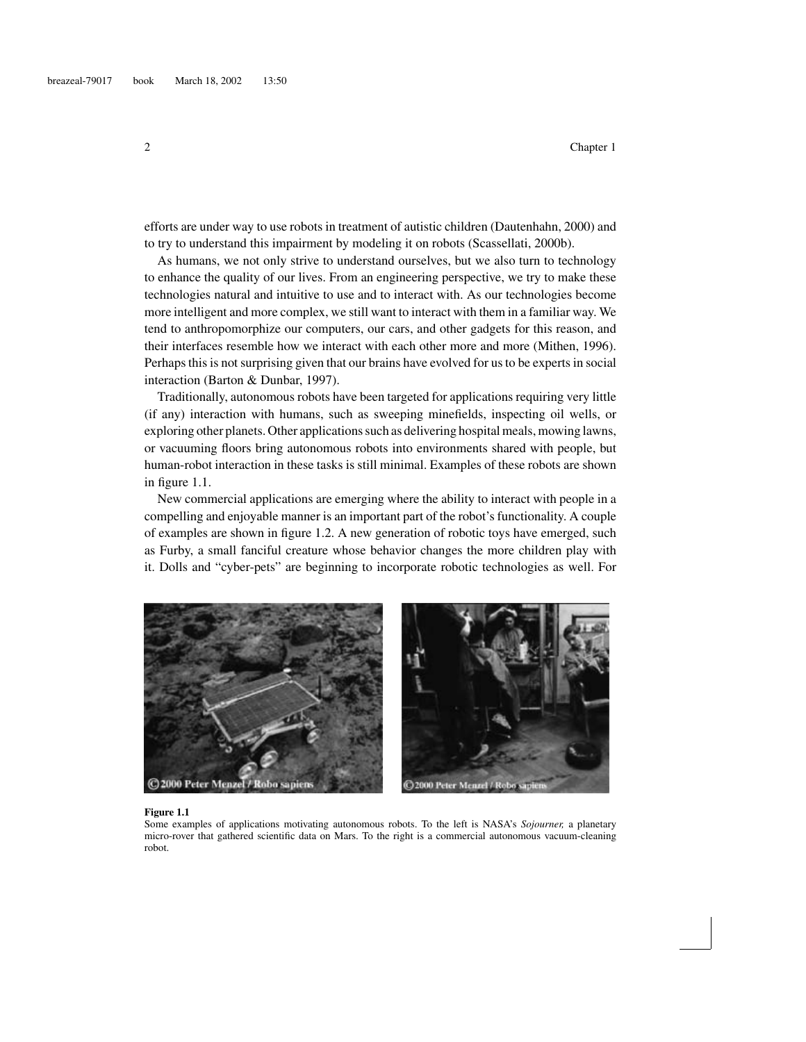efforts are under way to use robots in treatment of autistic children (Dautenhahn, 2000) and to try to understand this impairment by modeling it on robots (Scassellati, 2000b).

As humans, we not only strive to understand ourselves, but we also turn to technology to enhance the quality of our lives. From an engineering perspective, we try to make these technologies natural and intuitive to use and to interact with. As our technologies become more intelligent and more complex, we still want to interact with them in a familiar way. We tend to anthropomorphize our computers, our cars, and other gadgets for this reason, and their interfaces resemble how we interact with each other more and more (Mithen, 1996). Perhaps this is not surprising given that our brains have evolved for us to be experts in social interaction (Barton & Dunbar, 1997).

Traditionally, autonomous robots have been targeted for applications requiring very little (if any) interaction with humans, such as sweeping minefields, inspecting oil wells, or exploring other planets. Other applications such as delivering hospital meals, mowing lawns, or vacuuming floors bring autonomous robots into environments shared with people, but human-robot interaction in these tasks is still minimal. Examples of these robots are shown in figure 1.1.

New commercial applications are emerging where the ability to interact with people in a compelling and enjoyable manner is an important part of the robot's functionality. A couple of examples are shown in figure 1.2. A new generation of robotic toys have emerged, such as Furby, a small fanciful creature whose behavior changes the more children play with it. Dolls and "cyber-pets" are beginning to incorporate robotic technologies as well. For



#### **Figure 1.1**

Some examples of applications motivating autonomous robots. To the left is NASA's *Sojourner,* a planetary micro-rover that gathered scientific data on Mars. To the right is a commercial autonomous vacuum-cleaning robot.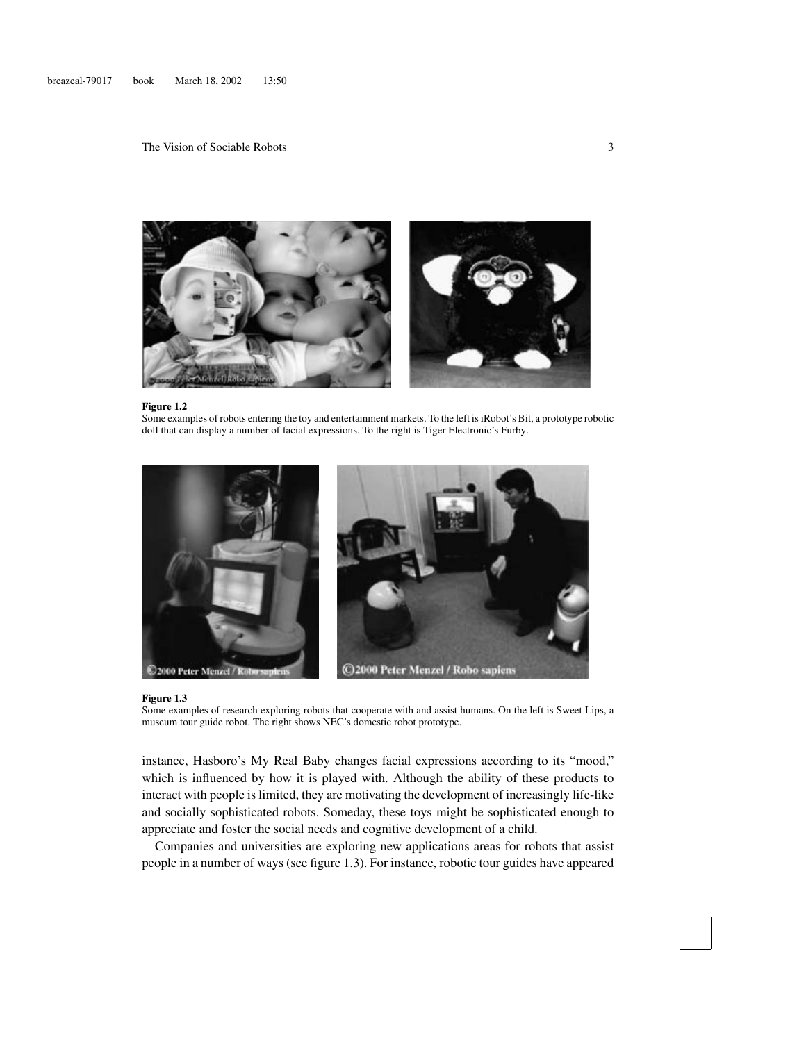

#### **Figure 1.2**

Some examples of robots entering the toy and entertainment markets. To the left is iRobot's Bit, a prototype robotic doll that can display a number of facial expressions. To the right is Tiger Electronic's Furby.



#### **Figure 1.3**

Some examples of research exploring robots that cooperate with and assist humans. On the left is Sweet Lips, a museum tour guide robot. The right shows NEC's domestic robot prototype.

instance, Hasboro's My Real Baby changes facial expressions according to its "mood," which is influenced by how it is played with. Although the ability of these products to interact with people is limited, they are motivating the development of increasingly life-like and socially sophisticated robots. Someday, these toys might be sophisticated enough to appreciate and foster the social needs and cognitive development of a child.

Companies and universities are exploring new applications areas for robots that assist people in a number of ways (see figure 1.3). For instance, robotic tour guides have appeared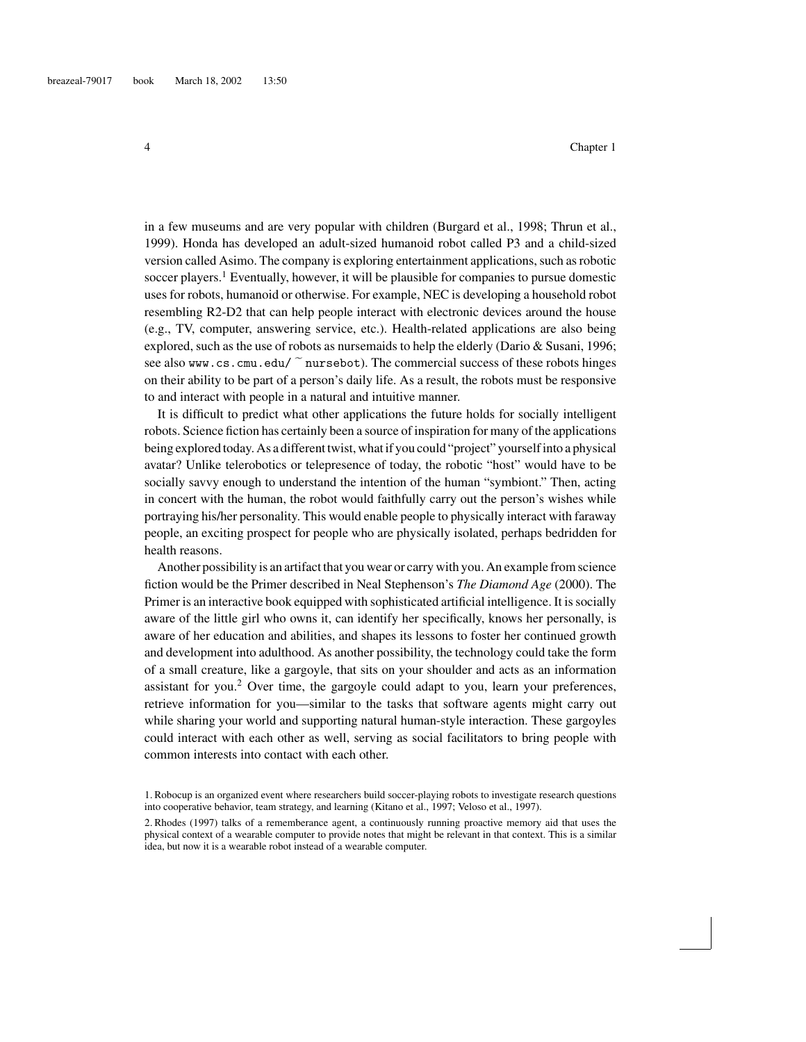in a few museums and are very popular with children (Burgard et al., 1998; Thrun et al., 1999). Honda has developed an adult-sized humanoid robot called P3 and a child-sized version called Asimo. The company is exploring entertainment applications, such as robotic soccer players.<sup>1</sup> Eventually, however, it will be plausible for companies to pursue domestic uses for robots, humanoid or otherwise. For example, NEC is developing a household robot resembling R2-D2 that can help people interact with electronic devices around the house (e.g., TV, computer, answering service, etc.). Health-related applications are also being explored, such as the use of robots as nursemaids to help the elderly (Dario & Susani, 1996; see also www.cs.cmu.edu/  $\tilde{ }$  nursebot). The commercial success of these robots hinges on their ability to be part of a person's daily life. As a result, the robots must be responsive to and interact with people in a natural and intuitive manner.

It is difficult to predict what other applications the future holds for socially intelligent robots. Science fiction has certainly been a source of inspiration for many of the applications being explored today. As a different twist, what if you could "project" yourself into a physical avatar? Unlike telerobotics or telepresence of today, the robotic "host" would have to be socially savvy enough to understand the intention of the human "symbiont." Then, acting in concert with the human, the robot would faithfully carry out the person's wishes while portraying his/her personality. This would enable people to physically interact with faraway people, an exciting prospect for people who are physically isolated, perhaps bedridden for health reasons.

Another possibility is an artifact that you wear or carry with you. An example from science fiction would be the Primer described in Neal Stephenson's *The Diamond Age* (2000). The Primer is an interactive book equipped with sophisticated artificial intelligence. It is socially aware of the little girl who owns it, can identify her specifically, knows her personally, is aware of her education and abilities, and shapes its lessons to foster her continued growth and development into adulthood. As another possibility, the technology could take the form of a small creature, like a gargoyle, that sits on your shoulder and acts as an information assistant for you.<sup>2</sup> Over time, the gargoyle could adapt to you, learn your preferences, retrieve information for you—similar to the tasks that software agents might carry out while sharing your world and supporting natural human-style interaction. These gargoyles could interact with each other as well, serving as social facilitators to bring people with common interests into contact with each other.

<sup>1.</sup> Robocup is an organized event where researchers build soccer-playing robots to investigate research questions into cooperative behavior, team strategy, and learning (Kitano et al., 1997; Veloso et al., 1997).

<sup>2.</sup> Rhodes (1997) talks of a rememberance agent, a continuously running proactive memory aid that uses the physical context of a wearable computer to provide notes that might be relevant in that context. This is a similar idea, but now it is a wearable robot instead of a wearable computer.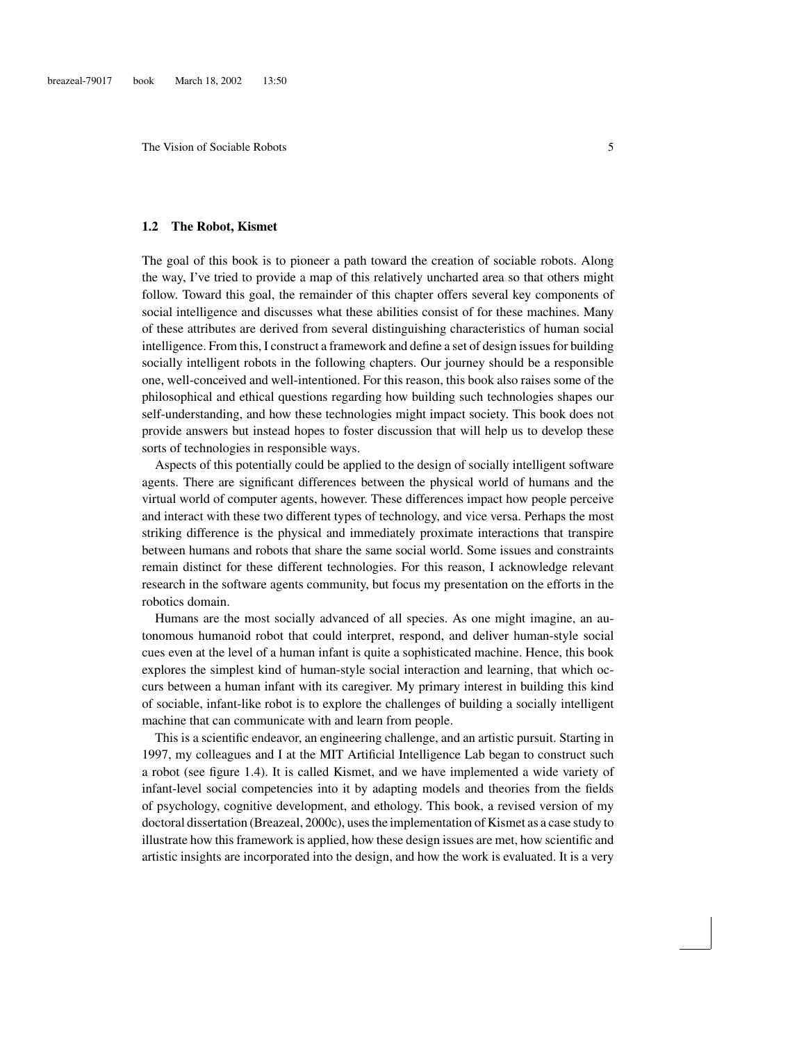### **1.2 The Robot, Kismet**

The goal of this book is to pioneer a path toward the creation of sociable robots. Along the way, I've tried to provide a map of this relatively uncharted area so that others might follow. Toward this goal, the remainder of this chapter offers several key components of social intelligence and discusses what these abilities consist of for these machines. Many of these attributes are derived from several distinguishing characteristics of human social intelligence. From this, I construct a framework and define a set of design issues for building socially intelligent robots in the following chapters. Our journey should be a responsible one, well-conceived and well-intentioned. For this reason, this book also raises some of the philosophical and ethical questions regarding how building such technologies shapes our self-understanding, and how these technologies might impact society. This book does not provide answers but instead hopes to foster discussion that will help us to develop these sorts of technologies in responsible ways.

Aspects of this potentially could be applied to the design of socially intelligent software agents. There are significant differences between the physical world of humans and the virtual world of computer agents, however. These differences impact how people perceive and interact with these two different types of technology, and vice versa. Perhaps the most striking difference is the physical and immediately proximate interactions that transpire between humans and robots that share the same social world. Some issues and constraints remain distinct for these different technologies. For this reason, I acknowledge relevant research in the software agents community, but focus my presentation on the efforts in the robotics domain.

Humans are the most socially advanced of all species. As one might imagine, an autonomous humanoid robot that could interpret, respond, and deliver human-style social cues even at the level of a human infant is quite a sophisticated machine. Hence, this book explores the simplest kind of human-style social interaction and learning, that which occurs between a human infant with its caregiver. My primary interest in building this kind of sociable, infant-like robot is to explore the challenges of building a socially intelligent machine that can communicate with and learn from people.

This is a scientific endeavor, an engineering challenge, and an artistic pursuit. Starting in 1997, my colleagues and I at the MIT Artificial Intelligence Lab began to construct such a robot (see figure 1.4). It is called Kismet, and we have implemented a wide variety of infant-level social competencies into it by adapting models and theories from the fields of psychology, cognitive development, and ethology. This book, a revised version of my doctoral dissertation (Breazeal, 2000c), uses the implementation of Kismet as a case study to illustrate how this framework is applied, how these design issues are met, how scientific and artistic insights are incorporated into the design, and how the work is evaluated. It is a very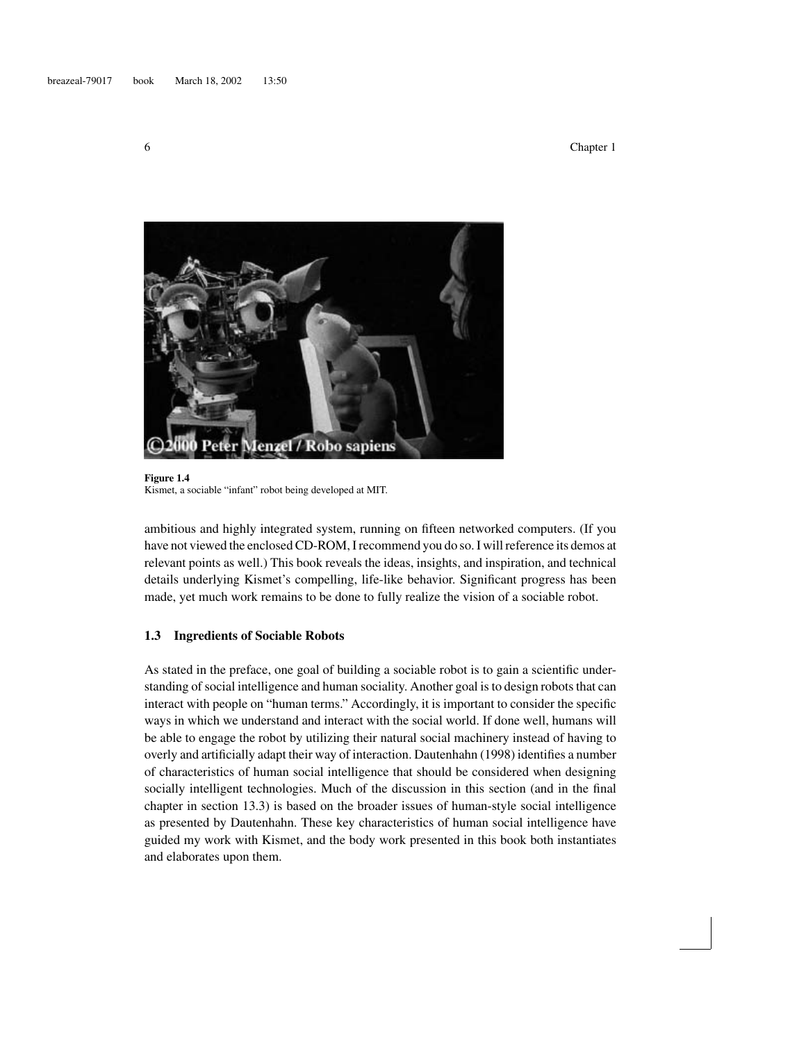

**Figure 1.4** Kismet, a sociable "infant" robot being developed at MIT.

ambitious and highly integrated system, running on fifteen networked computers. (If you have not viewed the enclosed CD-ROM, I recommend you do so. I will reference its demos at relevant points as well.) This book reveals the ideas, insights, and inspiration, and technical details underlying Kismet's compelling, life-like behavior. Significant progress has been made, yet much work remains to be done to fully realize the vision of a sociable robot.

# **1.3 Ingredients of Sociable Robots**

As stated in the preface, one goal of building a sociable robot is to gain a scientific understanding of social intelligence and human sociality. Another goal is to design robots that can interact with people on "human terms." Accordingly, it is important to consider the specific ways in which we understand and interact with the social world. If done well, humans will be able to engage the robot by utilizing their natural social machinery instead of having to overly and artificially adapt their way of interaction. Dautenhahn (1998) identifies a number of characteristics of human social intelligence that should be considered when designing socially intelligent technologies. Much of the discussion in this section (and in the final chapter in section 13.3) is based on the broader issues of human-style social intelligence as presented by Dautenhahn. These key characteristics of human social intelligence have guided my work with Kismet, and the body work presented in this book both instantiates and elaborates upon them.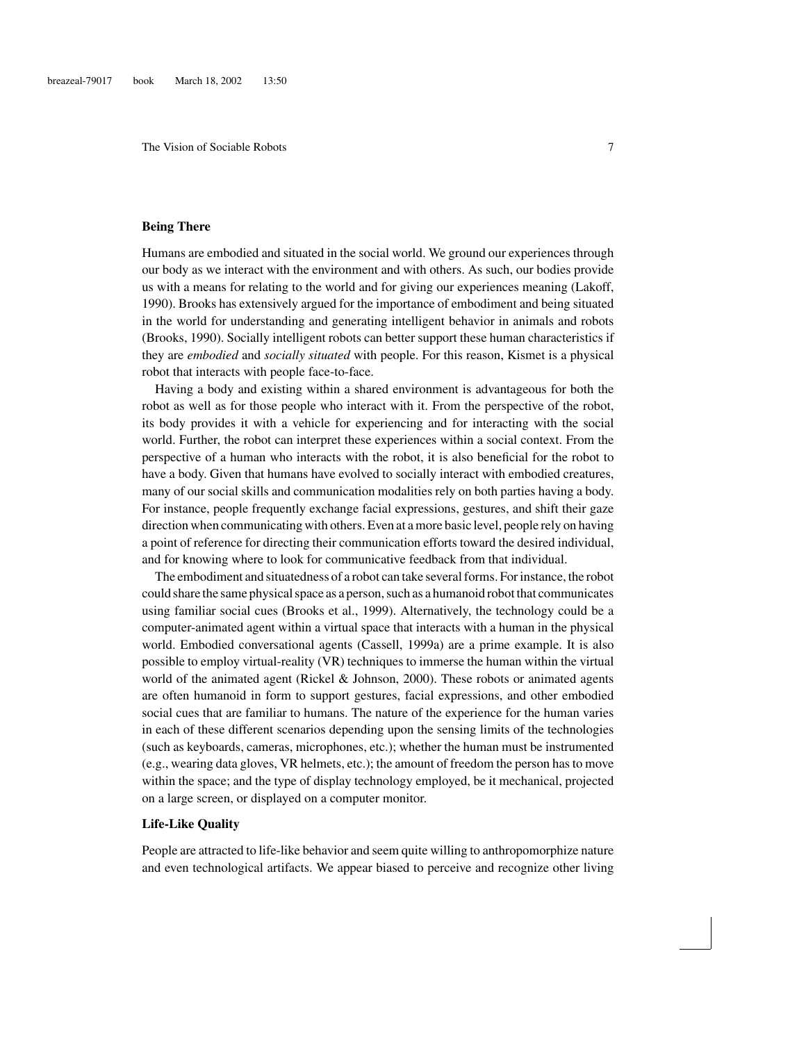## **Being There**

Humans are embodied and situated in the social world. We ground our experiences through our body as we interact with the environment and with others. As such, our bodies provide us with a means for relating to the world and for giving our experiences meaning (Lakoff, 1990). Brooks has extensively argued for the importance of embodiment and being situated in the world for understanding and generating intelligent behavior in animals and robots (Brooks, 1990). Socially intelligent robots can better support these human characteristics if they are *embodied* and *socially situated* with people. For this reason, Kismet is a physical robot that interacts with people face-to-face.

Having a body and existing within a shared environment is advantageous for both the robot as well as for those people who interact with it. From the perspective of the robot, its body provides it with a vehicle for experiencing and for interacting with the social world. Further, the robot can interpret these experiences within a social context. From the perspective of a human who interacts with the robot, it is also beneficial for the robot to have a body. Given that humans have evolved to socially interact with embodied creatures, many of our social skills and communication modalities rely on both parties having a body. For instance, people frequently exchange facial expressions, gestures, and shift their gaze direction when communicating with others. Even at a more basic level, people rely on having a point of reference for directing their communication efforts toward the desired individual, and for knowing where to look for communicative feedback from that individual.

The embodiment and situatedness of a robot can take several forms. For instance, the robot could share the same physical space as a person, such as a humanoid robot that communicates using familiar social cues (Brooks et al., 1999). Alternatively, the technology could be a computer-animated agent within a virtual space that interacts with a human in the physical world. Embodied conversational agents (Cassell, 1999a) are a prime example. It is also possible to employ virtual-reality (VR) techniques to immerse the human within the virtual world of the animated agent (Rickel & Johnson, 2000). These robots or animated agents are often humanoid in form to support gestures, facial expressions, and other embodied social cues that are familiar to humans. The nature of the experience for the human varies in each of these different scenarios depending upon the sensing limits of the technologies (such as keyboards, cameras, microphones, etc.); whether the human must be instrumented (e.g., wearing data gloves, VR helmets, etc.); the amount of freedom the person has to move within the space; and the type of display technology employed, be it mechanical, projected on a large screen, or displayed on a computer monitor.

### **Life-Like Quality**

People are attracted to life-like behavior and seem quite willing to anthropomorphize nature and even technological artifacts. We appear biased to perceive and recognize other living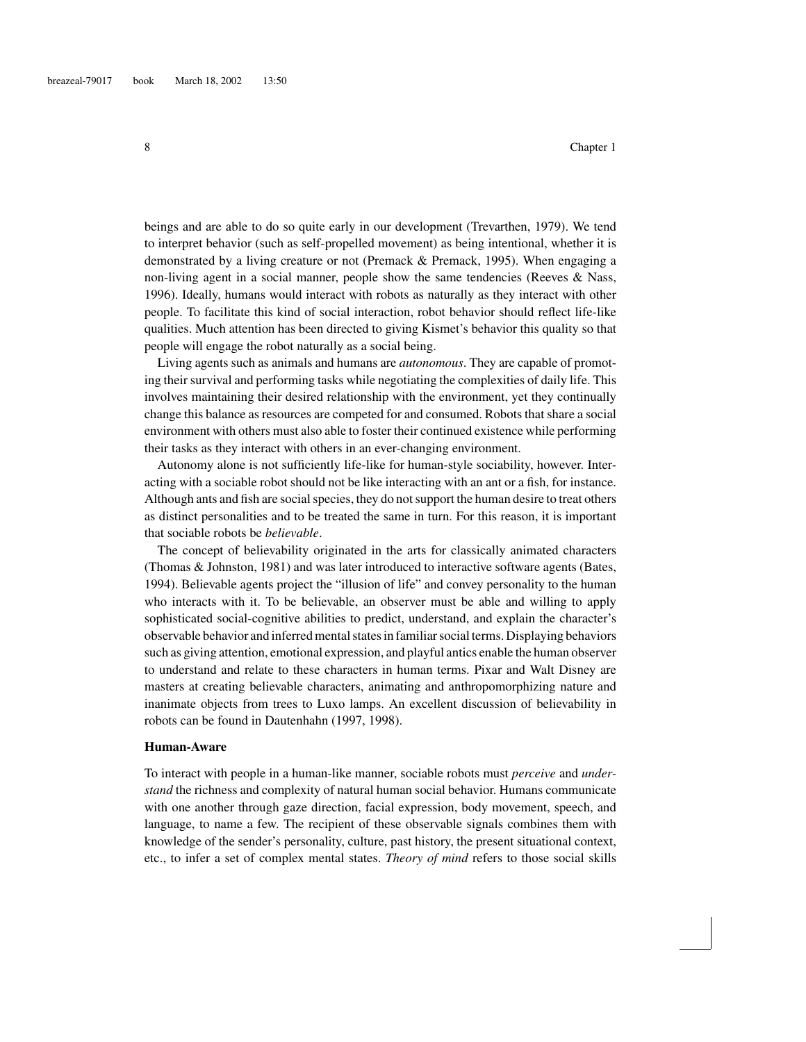beings and are able to do so quite early in our development (Trevarthen, 1979). We tend to interpret behavior (such as self-propelled movement) as being intentional, whether it is demonstrated by a living creature or not (Premack & Premack, 1995). When engaging a non-living agent in a social manner, people show the same tendencies (Reeves & Nass, 1996). Ideally, humans would interact with robots as naturally as they interact with other people. To facilitate this kind of social interaction, robot behavior should reflect life-like qualities. Much attention has been directed to giving Kismet's behavior this quality so that people will engage the robot naturally as a social being.

Living agents such as animals and humans are *autonomous*. They are capable of promoting their survival and performing tasks while negotiating the complexities of daily life. This involves maintaining their desired relationship with the environment, yet they continually change this balance as resources are competed for and consumed. Robots that share a social environment with others must also able to foster their continued existence while performing their tasks as they interact with others in an ever-changing environment.

Autonomy alone is not sufficiently life-like for human-style sociability, however. Interacting with a sociable robot should not be like interacting with an ant or a fish, for instance. Although ants and fish are social species, they do not support the human desire to treat others as distinct personalities and to be treated the same in turn. For this reason, it is important that sociable robots be *believable*.

The concept of believability originated in the arts for classically animated characters (Thomas & Johnston, 1981) and was later introduced to interactive software agents (Bates, 1994). Believable agents project the "illusion of life" and convey personality to the human who interacts with it. To be believable, an observer must be able and willing to apply sophisticated social-cognitive abilities to predict, understand, and explain the character's observable behavior and inferred mental states in familiar social terms. Displaying behaviors such as giving attention, emotional expression, and playful antics enable the human observer to understand and relate to these characters in human terms. Pixar and Walt Disney are masters at creating believable characters, animating and anthropomorphizing nature and inanimate objects from trees to Luxo lamps. An excellent discussion of believability in robots can be found in Dautenhahn (1997, 1998).

## **Human-Aware**

To interact with people in a human-like manner, sociable robots must *perceive* and *understand* the richness and complexity of natural human social behavior. Humans communicate with one another through gaze direction, facial expression, body movement, speech, and language, to name a few. The recipient of these observable signals combines them with knowledge of the sender's personality, culture, past history, the present situational context, etc., to infer a set of complex mental states. *Theory of mind* refers to those social skills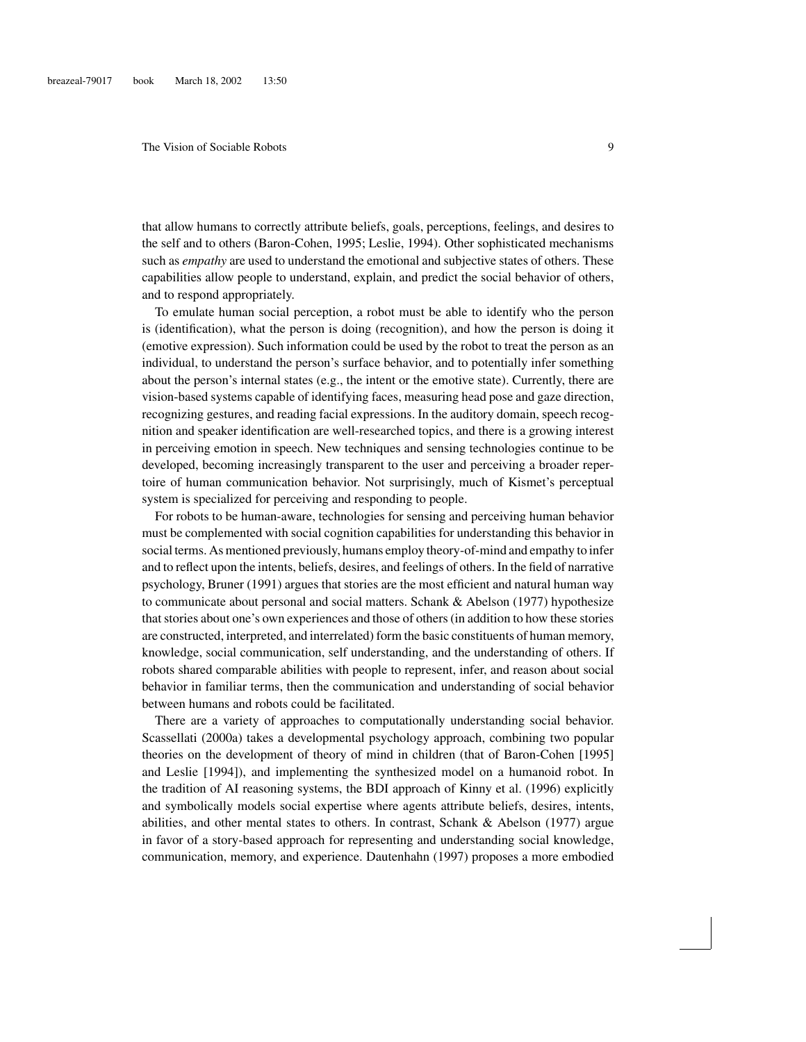that allow humans to correctly attribute beliefs, goals, perceptions, feelings, and desires to the self and to others (Baron-Cohen, 1995; Leslie, 1994). Other sophisticated mechanisms such as *empathy* are used to understand the emotional and subjective states of others. These capabilities allow people to understand, explain, and predict the social behavior of others, and to respond appropriately.

To emulate human social perception, a robot must be able to identify who the person is (identification), what the person is doing (recognition), and how the person is doing it (emotive expression). Such information could be used by the robot to treat the person as an individual, to understand the person's surface behavior, and to potentially infer something about the person's internal states (e.g., the intent or the emotive state). Currently, there are vision-based systems capable of identifying faces, measuring head pose and gaze direction, recognizing gestures, and reading facial expressions. In the auditory domain, speech recognition and speaker identification are well-researched topics, and there is a growing interest in perceiving emotion in speech. New techniques and sensing technologies continue to be developed, becoming increasingly transparent to the user and perceiving a broader repertoire of human communication behavior. Not surprisingly, much of Kismet's perceptual system is specialized for perceiving and responding to people.

For robots to be human-aware, technologies for sensing and perceiving human behavior must be complemented with social cognition capabilities for understanding this behavior in social terms. As mentioned previously, humans employ theory-of-mind and empathy to infer and to reflect upon the intents, beliefs, desires, and feelings of others. In the field of narrative psychology, Bruner (1991) argues that stories are the most efficient and natural human way to communicate about personal and social matters. Schank & Abelson (1977) hypothesize that stories about one's own experiences and those of others (in addition to how these stories are constructed, interpreted, and interrelated) form the basic constituents of human memory, knowledge, social communication, self understanding, and the understanding of others. If robots shared comparable abilities with people to represent, infer, and reason about social behavior in familiar terms, then the communication and understanding of social behavior between humans and robots could be facilitated.

There are a variety of approaches to computationally understanding social behavior. Scassellati (2000a) takes a developmental psychology approach, combining two popular theories on the development of theory of mind in children (that of Baron-Cohen [1995] and Leslie [1994]), and implementing the synthesized model on a humanoid robot. In the tradition of AI reasoning systems, the BDI approach of Kinny et al. (1996) explicitly and symbolically models social expertise where agents attribute beliefs, desires, intents, abilities, and other mental states to others. In contrast, Schank & Abelson (1977) argue in favor of a story-based approach for representing and understanding social knowledge, communication, memory, and experience. Dautenhahn (1997) proposes a more embodied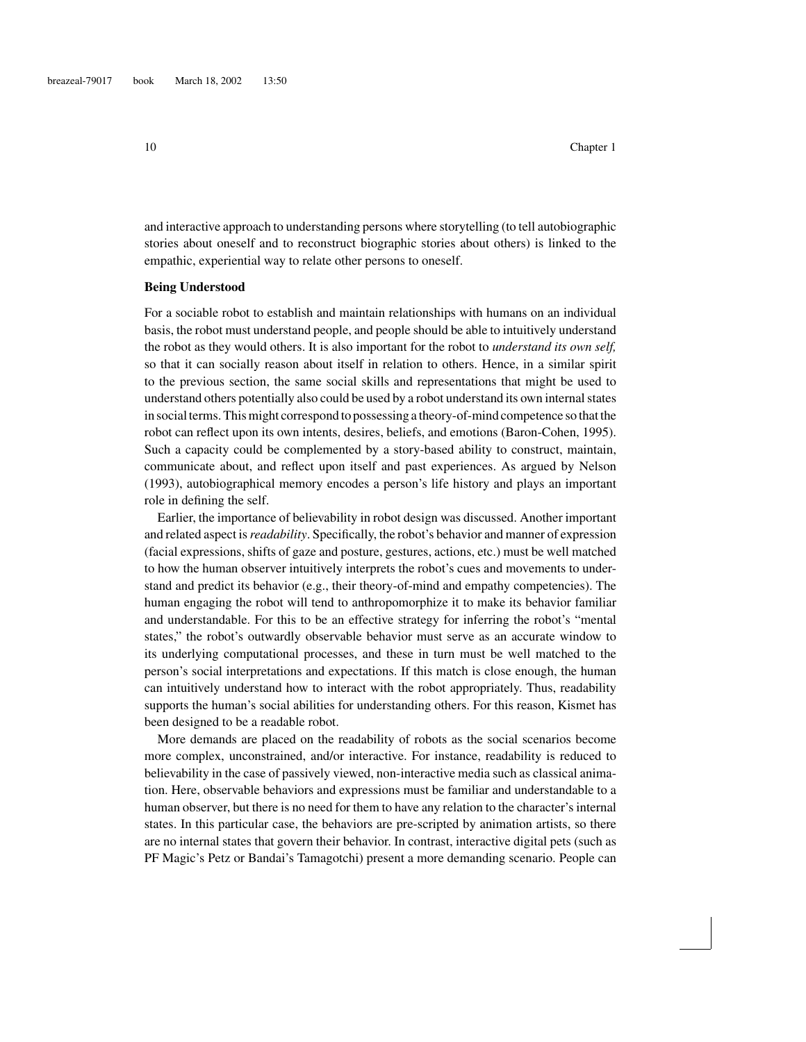and interactive approach to understanding persons where storytelling (to tell autobiographic stories about oneself and to reconstruct biographic stories about others) is linked to the empathic, experiential way to relate other persons to oneself.

# **Being Understood**

For a sociable robot to establish and maintain relationships with humans on an individual basis, the robot must understand people, and people should be able to intuitively understand the robot as they would others. It is also important for the robot to *understand its own self,* so that it can socially reason about itself in relation to others. Hence, in a similar spirit to the previous section, the same social skills and representations that might be used to understand others potentially also could be used by a robot understand its own internal states in social terms. This might correspond to possessing a theory-of-mind competence so that the robot can reflect upon its own intents, desires, beliefs, and emotions (Baron-Cohen, 1995). Such a capacity could be complemented by a story-based ability to construct, maintain, communicate about, and reflect upon itself and past experiences. As argued by Nelson (1993), autobiographical memory encodes a person's life history and plays an important role in defining the self.

Earlier, the importance of believability in robot design was discussed. Another important and related aspect is*readability*. Specifically, the robot's behavior and manner of expression (facial expressions, shifts of gaze and posture, gestures, actions, etc.) must be well matched to how the human observer intuitively interprets the robot's cues and movements to understand and predict its behavior (e.g., their theory-of-mind and empathy competencies). The human engaging the robot will tend to anthropomorphize it to make its behavior familiar and understandable. For this to be an effective strategy for inferring the robot's "mental states," the robot's outwardly observable behavior must serve as an accurate window to its underlying computational processes, and these in turn must be well matched to the person's social interpretations and expectations. If this match is close enough, the human can intuitively understand how to interact with the robot appropriately. Thus, readability supports the human's social abilities for understanding others. For this reason, Kismet has been designed to be a readable robot.

More demands are placed on the readability of robots as the social scenarios become more complex, unconstrained, and/or interactive. For instance, readability is reduced to believability in the case of passively viewed, non-interactive media such as classical animation. Here, observable behaviors and expressions must be familiar and understandable to a human observer, but there is no need for them to have any relation to the character's internal states. In this particular case, the behaviors are pre-scripted by animation artists, so there are no internal states that govern their behavior. In contrast, interactive digital pets (such as PF Magic's Petz or Bandai's Tamagotchi) present a more demanding scenario. People can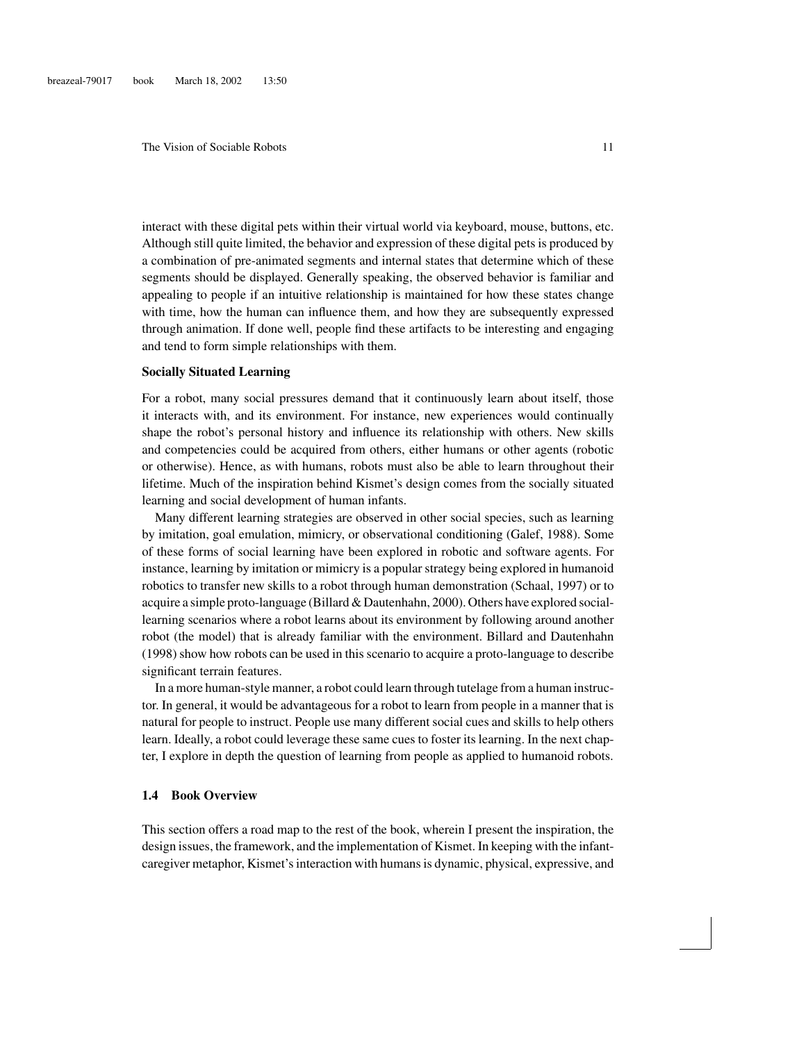interact with these digital pets within their virtual world via keyboard, mouse, buttons, etc. Although still quite limited, the behavior and expression of these digital pets is produced by a combination of pre-animated segments and internal states that determine which of these segments should be displayed. Generally speaking, the observed behavior is familiar and appealing to people if an intuitive relationship is maintained for how these states change with time, how the human can influence them, and how they are subsequently expressed through animation. If done well, people find these artifacts to be interesting and engaging and tend to form simple relationships with them.

#### **Socially Situated Learning**

For a robot, many social pressures demand that it continuously learn about itself, those it interacts with, and its environment. For instance, new experiences would continually shape the robot's personal history and influence its relationship with others. New skills and competencies could be acquired from others, either humans or other agents (robotic or otherwise). Hence, as with humans, robots must also be able to learn throughout their lifetime. Much of the inspiration behind Kismet's design comes from the socially situated learning and social development of human infants.

Many different learning strategies are observed in other social species, such as learning by imitation, goal emulation, mimicry, or observational conditioning (Galef, 1988). Some of these forms of social learning have been explored in robotic and software agents. For instance, learning by imitation or mimicry is a popular strategy being explored in humanoid robotics to transfer new skills to a robot through human demonstration (Schaal, 1997) or to acquire a simple proto-language (Billard & Dautenhahn, 2000). Others have explored sociallearning scenarios where a robot learns about its environment by following around another robot (the model) that is already familiar with the environment. Billard and Dautenhahn (1998) show how robots can be used in this scenario to acquire a proto-language to describe significant terrain features.

In a more human-style manner, a robot could learn through tutelage from a human instructor. In general, it would be advantageous for a robot to learn from people in a manner that is natural for people to instruct. People use many different social cues and skills to help others learn. Ideally, a robot could leverage these same cues to foster its learning. In the next chapter, I explore in depth the question of learning from people as applied to humanoid robots.

# **1.4 Book Overview**

This section offers a road map to the rest of the book, wherein I present the inspiration, the design issues, the framework, and the implementation of Kismet. In keeping with the infantcaregiver metaphor, Kismet's interaction with humans is dynamic, physical, expressive, and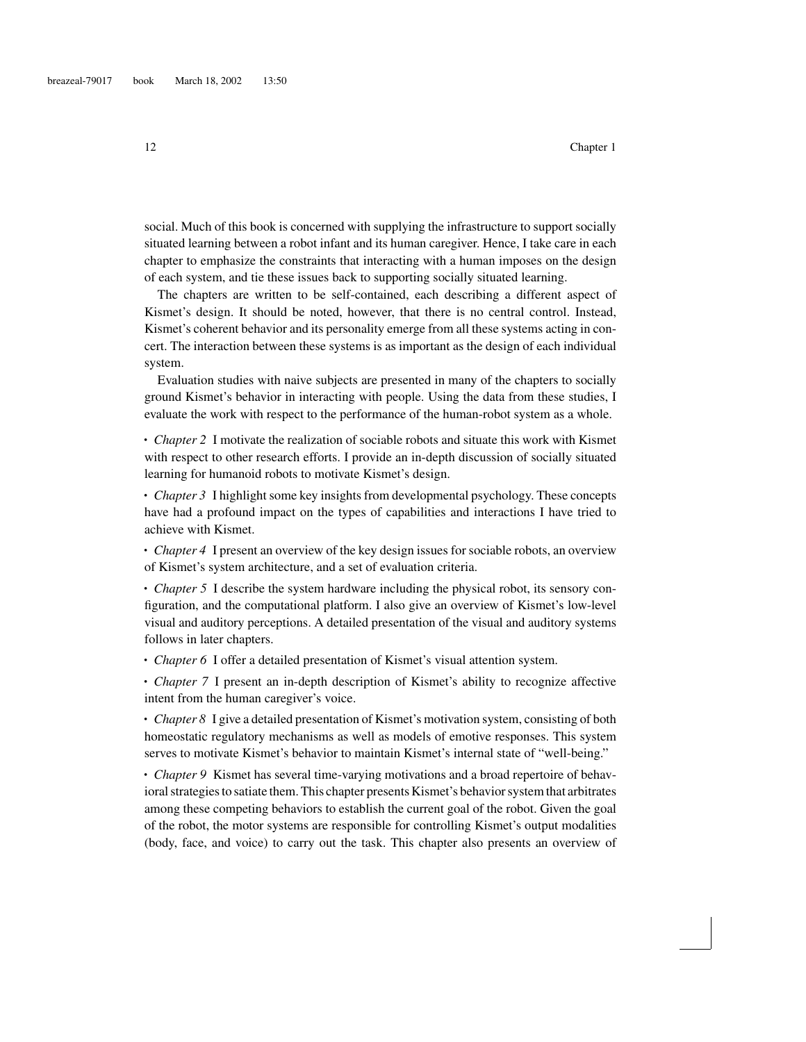social. Much of this book is concerned with supplying the infrastructure to support socially situated learning between a robot infant and its human caregiver. Hence, I take care in each chapter to emphasize the constraints that interacting with a human imposes on the design of each system, and tie these issues back to supporting socially situated learning.

The chapters are written to be self-contained, each describing a different aspect of Kismet's design. It should be noted, however, that there is no central control. Instead, Kismet's coherent behavior and its personality emerge from all these systems acting in concert. The interaction between these systems is as important as the design of each individual system.

Evaluation studies with naive subjects are presented in many of the chapters to socially ground Kismet's behavior in interacting with people. Using the data from these studies, I evaluate the work with respect to the performance of the human-robot system as a whole.

• *Chapter 2* I motivate the realization of sociable robots and situate this work with Kismet with respect to other research efforts. I provide an in-depth discussion of socially situated learning for humanoid robots to motivate Kismet's design.

• *Chapter 3* I highlight some key insights from developmental psychology. These concepts have had a profound impact on the types of capabilities and interactions I have tried to achieve with Kismet.

• *Chapter 4* I present an overview of the key design issues for sociable robots, an overview of Kismet's system architecture, and a set of evaluation criteria.

• *Chapter 5* I describe the system hardware including the physical robot, its sensory configuration, and the computational platform. I also give an overview of Kismet's low-level visual and auditory perceptions. A detailed presentation of the visual and auditory systems follows in later chapters.

• *Chapter 6* I offer a detailed presentation of Kismet's visual attention system.

• *Chapter 7* I present an in-depth description of Kismet's ability to recognize affective intent from the human caregiver's voice.

• *Chapter 8* I give a detailed presentation of Kismet's motivation system, consisting of both homeostatic regulatory mechanisms as well as models of emotive responses. This system serves to motivate Kismet's behavior to maintain Kismet's internal state of "well-being."

• *Chapter 9* Kismet has several time-varying motivations and a broad repertoire of behavioral strategies to satiate them. This chapter presents Kismet's behavior system that arbitrates among these competing behaviors to establish the current goal of the robot. Given the goal of the robot, the motor systems are responsible for controlling Kismet's output modalities (body, face, and voice) to carry out the task. This chapter also presents an overview of